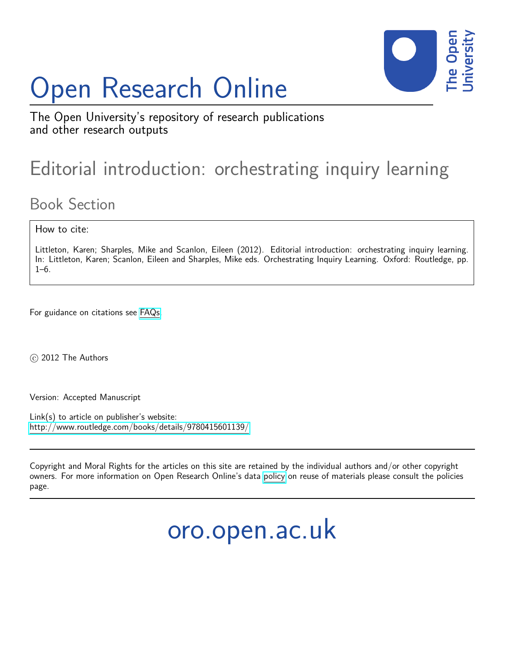# Open Research Online



The Open University's repository of research publications and other research outputs

## Editorial introduction: orchestrating inquiry learning

## Book Section

How to cite:

Littleton, Karen; Sharples, Mike and Scanlon, Eileen (2012). Editorial introduction: orchestrating inquiry learning. In: Littleton, Karen; Scanlon, Eileen and Sharples, Mike eds. Orchestrating Inquiry Learning. Oxford: Routledge, pp.  $1-6$ .

For guidance on citations see [FAQs.](http://oro.open.ac.uk/help/helpfaq.html)

c 2012 The Authors

Version: Accepted Manuscript

Link(s) to article on publisher's website: <http://www.routledge.com/books/details/9780415601139/>

Copyright and Moral Rights for the articles on this site are retained by the individual authors and/or other copyright owners. For more information on Open Research Online's data [policy](http://oro.open.ac.uk/policies.html) on reuse of materials please consult the policies page.

oro.open.ac.uk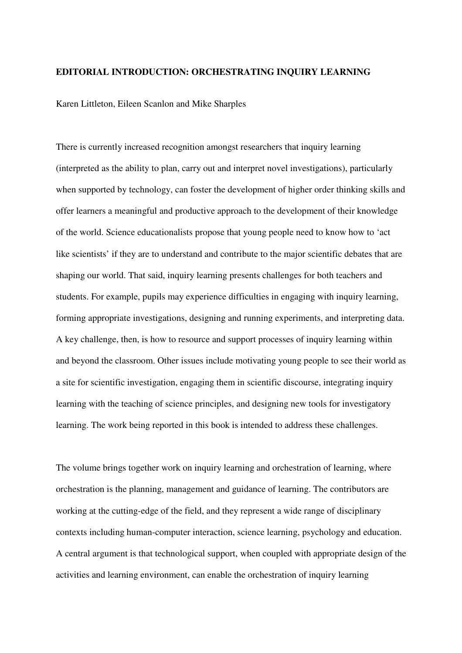### **EDITORIAL INTRODUCTION: ORCHESTRATING INQUIRY LEARNING**

Karen Littleton, Eileen Scanlon and Mike Sharples

There is currently increased recognition amongst researchers that inquiry learning (interpreted as the ability to plan, carry out and interpret novel investigations), particularly when supported by technology, can foster the development of higher order thinking skills and offer learners a meaningful and productive approach to the development of their knowledge of the world. Science educationalists propose that young people need to know how to 'act like scientists' if they are to understand and contribute to the major scientific debates that are shaping our world. That said, inquiry learning presents challenges for both teachers and students. For example, pupils may experience difficulties in engaging with inquiry learning, forming appropriate investigations, designing and running experiments, and interpreting data. A key challenge, then, is how to resource and support processes of inquiry learning within and beyond the classroom. Other issues include motivating young people to see their world as a site for scientific investigation, engaging them in scientific discourse, integrating inquiry learning with the teaching of science principles, and designing new tools for investigatory learning. The work being reported in this book is intended to address these challenges.

The volume brings together work on inquiry learning and orchestration of learning, where orchestration is the planning, management and guidance of learning. The contributors are working at the cutting-edge of the field, and they represent a wide range of disciplinary contexts including human-computer interaction, science learning, psychology and education. A central argument is that technological support, when coupled with appropriate design of the activities and learning environment, can enable the orchestration of inquiry learning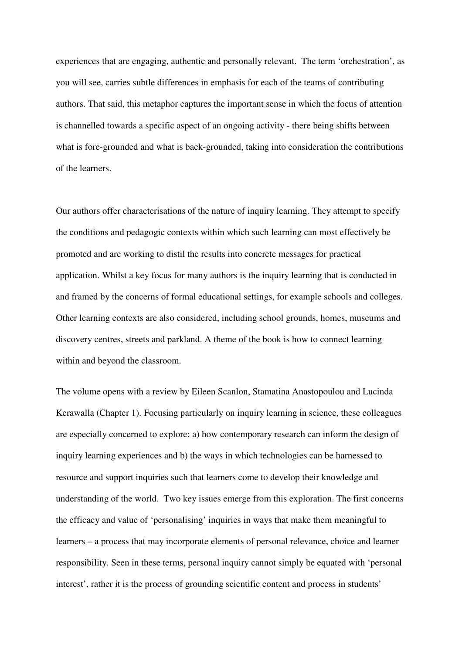experiences that are engaging, authentic and personally relevant. The term 'orchestration', as you will see, carries subtle differences in emphasis for each of the teams of contributing authors. That said, this metaphor captures the important sense in which the focus of attention is channelled towards a specific aspect of an ongoing activity - there being shifts between what is fore-grounded and what is back-grounded, taking into consideration the contributions of the learners.

Our authors offer characterisations of the nature of inquiry learning. They attempt to specify the conditions and pedagogic contexts within which such learning can most effectively be promoted and are working to distil the results into concrete messages for practical application. Whilst a key focus for many authors is the inquiry learning that is conducted in and framed by the concerns of formal educational settings, for example schools and colleges. Other learning contexts are also considered, including school grounds, homes, museums and discovery centres, streets and parkland. A theme of the book is how to connect learning within and beyond the classroom.

The volume opens with a review by Eileen Scanlon, Stamatina Anastopoulou and Lucinda Kerawalla (Chapter 1). Focusing particularly on inquiry learning in science, these colleagues are especially concerned to explore: a) how contemporary research can inform the design of inquiry learning experiences and b) the ways in which technologies can be harnessed to resource and support inquiries such that learners come to develop their knowledge and understanding of the world. Two key issues emerge from this exploration. The first concerns the efficacy and value of 'personalising' inquiries in ways that make them meaningful to learners – a process that may incorporate elements of personal relevance, choice and learner responsibility. Seen in these terms, personal inquiry cannot simply be equated with 'personal interest', rather it is the process of grounding scientific content and process in students'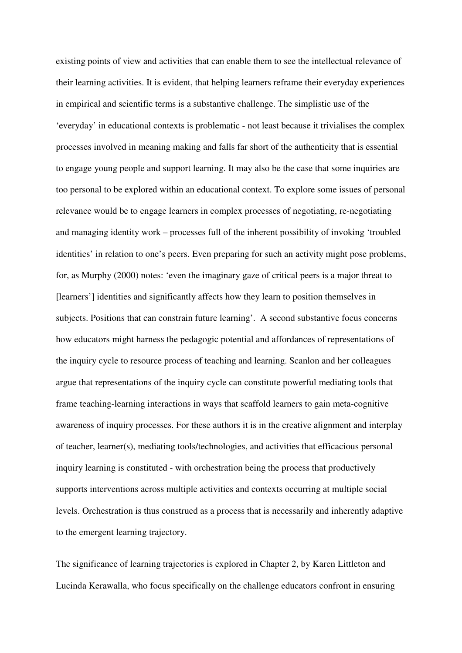existing points of view and activities that can enable them to see the intellectual relevance of their learning activities. It is evident, that helping learners reframe their everyday experiences in empirical and scientific terms is a substantive challenge. The simplistic use of the 'everyday' in educational contexts is problematic - not least because it trivialises the complex processes involved in meaning making and falls far short of the authenticity that is essential to engage young people and support learning. It may also be the case that some inquiries are too personal to be explored within an educational context. To explore some issues of personal relevance would be to engage learners in complex processes of negotiating, re-negotiating and managing identity work – processes full of the inherent possibility of invoking 'troubled identities' in relation to one's peers. Even preparing for such an activity might pose problems, for, as Murphy (2000) notes: 'even the imaginary gaze of critical peers is a major threat to [learners'] identities and significantly affects how they learn to position themselves in subjects. Positions that can constrain future learning'. A second substantive focus concerns how educators might harness the pedagogic potential and affordances of representations of the inquiry cycle to resource process of teaching and learning. Scanlon and her colleagues argue that representations of the inquiry cycle can constitute powerful mediating tools that frame teaching-learning interactions in ways that scaffold learners to gain meta-cognitive awareness of inquiry processes. For these authors it is in the creative alignment and interplay of teacher, learner(s), mediating tools/technologies, and activities that efficacious personal inquiry learning is constituted - with orchestration being the process that productively supports interventions across multiple activities and contexts occurring at multiple social levels. Orchestration is thus construed as a process that is necessarily and inherently adaptive to the emergent learning trajectory.

The significance of learning trajectories is explored in Chapter 2, by Karen Littleton and Lucinda Kerawalla, who focus specifically on the challenge educators confront in ensuring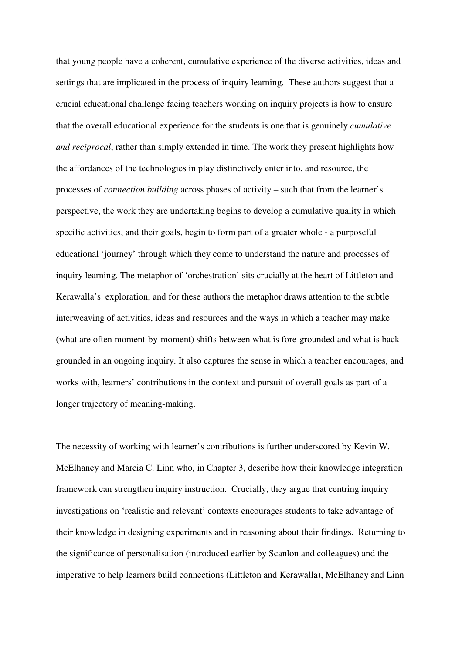that young people have a coherent, cumulative experience of the diverse activities, ideas and settings that are implicated in the process of inquiry learning. These authors suggest that a crucial educational challenge facing teachers working on inquiry projects is how to ensure that the overall educational experience for the students is one that is genuinely *cumulative and reciprocal*, rather than simply extended in time. The work they present highlights how the affordances of the technologies in play distinctively enter into, and resource, the processes of *connection building* across phases of activity – such that from the learner's perspective, the work they are undertaking begins to develop a cumulative quality in which specific activities, and their goals, begin to form part of a greater whole - a purposeful educational 'journey' through which they come to understand the nature and processes of inquiry learning. The metaphor of 'orchestration' sits crucially at the heart of Littleton and Kerawalla's exploration, and for these authors the metaphor draws attention to the subtle interweaving of activities, ideas and resources and the ways in which a teacher may make (what are often moment-by-moment) shifts between what is fore-grounded and what is backgrounded in an ongoing inquiry. It also captures the sense in which a teacher encourages, and works with, learners' contributions in the context and pursuit of overall goals as part of a longer trajectory of meaning-making.

The necessity of working with learner's contributions is further underscored by Kevin W. McElhaney and Marcia C. Linn who, in Chapter 3, describe how their knowledge integration framework can strengthen inquiry instruction. Crucially, they argue that centring inquiry investigations on 'realistic and relevant' contexts encourages students to take advantage of their knowledge in designing experiments and in reasoning about their findings. Returning to the significance of personalisation (introduced earlier by Scanlon and colleagues) and the imperative to help learners build connections (Littleton and Kerawalla), McElhaney and Linn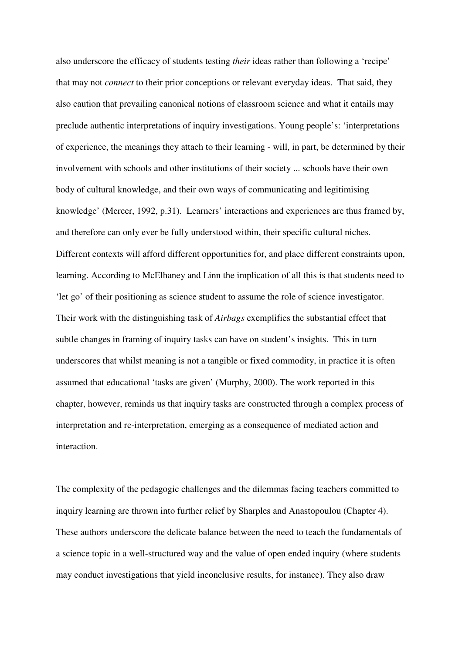also underscore the efficacy of students testing *their* ideas rather than following a 'recipe' that may not *connect* to their prior conceptions or relevant everyday ideas. That said, they also caution that prevailing canonical notions of classroom science and what it entails may preclude authentic interpretations of inquiry investigations. Young people's: 'interpretations of experience, the meanings they attach to their learning - will, in part, be determined by their involvement with schools and other institutions of their society ... schools have their own body of cultural knowledge, and their own ways of communicating and legitimising knowledge' (Mercer, 1992, p.31). Learners' interactions and experiences are thus framed by, and therefore can only ever be fully understood within, their specific cultural niches. Different contexts will afford different opportunities for, and place different constraints upon, learning. According to McElhaney and Linn the implication of all this is that students need to 'let go' of their positioning as science student to assume the role of science investigator. Their work with the distinguishing task of *Airbags* exemplifies the substantial effect that subtle changes in framing of inquiry tasks can have on student's insights. This in turn underscores that whilst meaning is not a tangible or fixed commodity, in practice it is often assumed that educational 'tasks are given' (Murphy, 2000). The work reported in this chapter, however, reminds us that inquiry tasks are constructed through a complex process of interpretation and re-interpretation, emerging as a consequence of mediated action and interaction.

The complexity of the pedagogic challenges and the dilemmas facing teachers committed to inquiry learning are thrown into further relief by Sharples and Anastopoulou (Chapter 4). These authors underscore the delicate balance between the need to teach the fundamentals of a science topic in a well-structured way and the value of open ended inquiry (where students may conduct investigations that yield inconclusive results, for instance). They also draw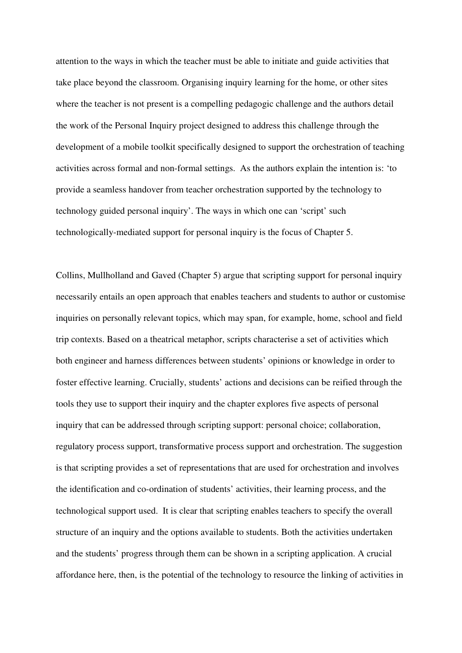attention to the ways in which the teacher must be able to initiate and guide activities that take place beyond the classroom. Organising inquiry learning for the home, or other sites where the teacher is not present is a compelling pedagogic challenge and the authors detail the work of the Personal Inquiry project designed to address this challenge through the development of a mobile toolkit specifically designed to support the orchestration of teaching activities across formal and non-formal settings. As the authors explain the intention is: 'to provide a seamless handover from teacher orchestration supported by the technology to technology guided personal inquiry'. The ways in which one can 'script' such technologically-mediated support for personal inquiry is the focus of Chapter 5.

Collins, Mullholland and Gaved (Chapter 5) argue that scripting support for personal inquiry necessarily entails an open approach that enables teachers and students to author or customise inquiries on personally relevant topics, which may span, for example, home, school and field trip contexts. Based on a theatrical metaphor, scripts characterise a set of activities which both engineer and harness differences between students' opinions or knowledge in order to foster effective learning. Crucially, students' actions and decisions can be reified through the tools they use to support their inquiry and the chapter explores five aspects of personal inquiry that can be addressed through scripting support: personal choice; collaboration, regulatory process support, transformative process support and orchestration. The suggestion is that scripting provides a set of representations that are used for orchestration and involves the identification and co-ordination of students' activities, their learning process, and the technological support used. It is clear that scripting enables teachers to specify the overall structure of an inquiry and the options available to students. Both the activities undertaken and the students' progress through them can be shown in a scripting application. A crucial affordance here, then, is the potential of the technology to resource the linking of activities in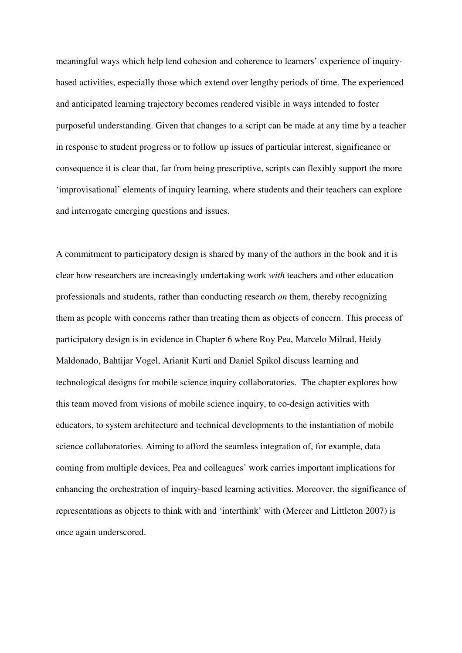meaningful ways which help lend cohesion and coherence to learners' experience of inquirybased activities, especially those which extend over lengthy periods of time. The experienced and anticipated learning trajectory becomes rendered visible in ways intended to foster purposeful understanding. Given that changes to a script can be made at any time by a teacher in response to student progress or to follow up issues of particular interest, significance or consequence it is clear that, far from being prescriptive, scripts can flexibly support the more 'improvisational' elements of inquiry learning, where students and their teachers can explore and interrogate emerging questions and issues.

A commitment to participatory design is shared by many of the authors in the book and it is clear how researchers are increasingly undertaking work *with* teachers and other education professionals and students, rather than conducting research *on* them, thereby recognizing them as people with concerns rather than treating them as objects of concern. This process of participatory design is in evidence in Chapter 6 where Roy Pea, Marcelo Milrad, Heidy Maldonado, Bahtijar Vogel, Arianit Kurti and Daniel Spikol discuss learning and technological designs for mobile science inquiry collaboratories. The chapter explores how this team moved from visions of mobile science inquiry, to co-design activities with educators, to system architecture and technical developments to the instantiation of mobile science collaboratories. Aiming to afford the seamless integration of, for example, data coming from multiple devices, Pea and colleagues' work carries important implications for enhancing the orchestration of inquiry-based learning activities. Moreover, the significance of representations as objects to think with and 'interthink' with (Mercer and Littleton 2007) is once again underscored.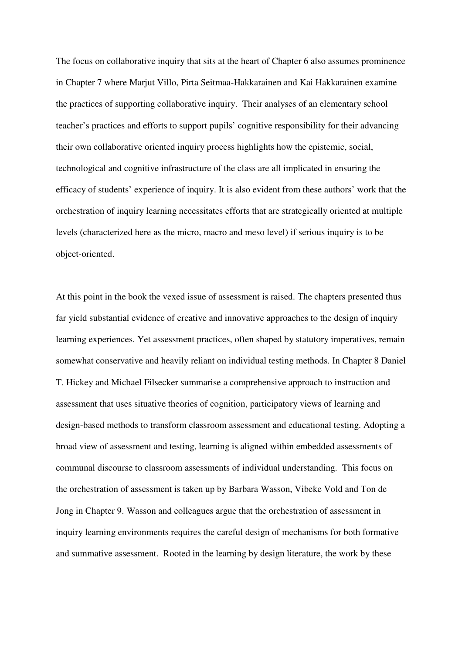The focus on collaborative inquiry that sits at the heart of Chapter 6 also assumes prominence in Chapter 7 where Marjut Villo, Pirta Seitmaa-Hakkarainen and Kai Hakkarainen examine the practices of supporting collaborative inquiry. Their analyses of an elementary school teacher's practices and efforts to support pupils' cognitive responsibility for their advancing their own collaborative oriented inquiry process highlights how the epistemic, social, technological and cognitive infrastructure of the class are all implicated in ensuring the efficacy of students' experience of inquiry. It is also evident from these authors' work that the orchestration of inquiry learning necessitates efforts that are strategically oriented at multiple levels (characterized here as the micro, macro and meso level) if serious inquiry is to be object-oriented.

At this point in the book the vexed issue of assessment is raised. The chapters presented thus far yield substantial evidence of creative and innovative approaches to the design of inquiry learning experiences. Yet assessment practices, often shaped by statutory imperatives, remain somewhat conservative and heavily reliant on individual testing methods. In Chapter 8 Daniel T. Hickey and Michael Filsecker summarise a comprehensive approach to instruction and assessment that uses situative theories of cognition, participatory views of learning and design-based methods to transform classroom assessment and educational testing. Adopting a broad view of assessment and testing, learning is aligned within embedded assessments of communal discourse to classroom assessments of individual understanding. This focus on the orchestration of assessment is taken up by Barbara Wasson, Vibeke Vold and Ton de Jong in Chapter 9. Wasson and colleagues argue that the orchestration of assessment in inquiry learning environments requires the careful design of mechanisms for both formative and summative assessment. Rooted in the learning by design literature, the work by these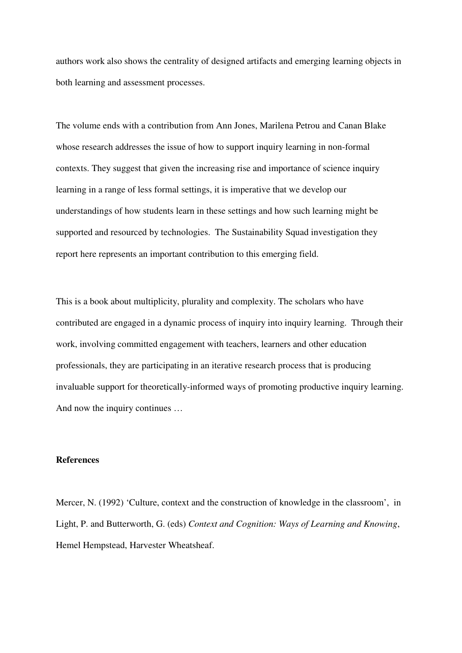authors work also shows the centrality of designed artifacts and emerging learning objects in both learning and assessment processes.

The volume ends with a contribution from Ann Jones, Marilena Petrou and Canan Blake whose research addresses the issue of how to support inquiry learning in non-formal contexts. They suggest that given the increasing rise and importance of science inquiry learning in a range of less formal settings, it is imperative that we develop our understandings of how students learn in these settings and how such learning might be supported and resourced by technologies. The Sustainability Squad investigation they report here represents an important contribution to this emerging field.

This is a book about multiplicity, plurality and complexity. The scholars who have contributed are engaged in a dynamic process of inquiry into inquiry learning. Through their work, involving committed engagement with teachers, learners and other education professionals, they are participating in an iterative research process that is producing invaluable support for theoretically-informed ways of promoting productive inquiry learning. And now the inquiry continues …

#### **References**

Mercer, N. (1992) 'Culture, context and the construction of knowledge in the classroom', in Light, P. and Butterworth, G. (eds) *Context and Cognition: Ways of Learning and Knowing*, Hemel Hempstead, Harvester Wheatsheaf.